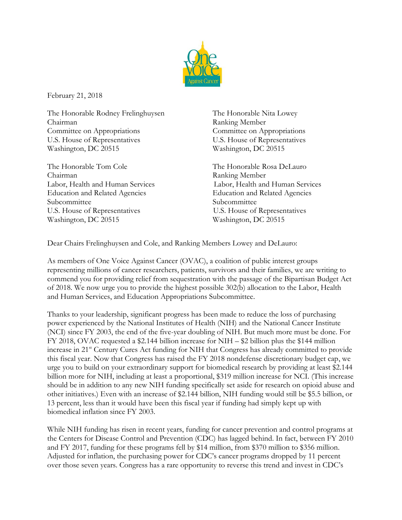

February 21, 2018

The Honorable Rodney Frelinghuysen The Honorable Nita Lowey Chairman Ranking Member Committee on Appropriations Committee on Appropriations U.S. House of Representatives U.S. House of Representatives Washington, DC 20515 Washington, DC 20515

The Honorable Tom Cole The Honorable Rosa DeLauro Chairman Ranking Member Labor, Health and Human Services Labor, Health and Human Services Education and Related Agencies Education and Related Agencies Subcommittee Subcommittee Subcommittee Subcommittee Subcommittee Subcommittee Subcommittee Subcommittee Subcommittee Subcommittee Subcommittee Subcommittee Subcommittee Subcommittee Subcommittee Subcommittee Subcommittee S U.S. House of Representatives U.S. House of Representatives Washington, DC 20515 Washington, DC 20515

Dear Chairs Frelinghuysen and Cole, and Ranking Members Lowey and DeLauro:

As members of One Voice Against Cancer (OVAC), a coalition of public interest groups representing millions of cancer researchers, patients, survivors and their families, we are writing to commend you for providing relief from sequestration with the passage of the Bipartisan Budget Act of 2018. We now urge you to provide the highest possible 302(b) allocation to the Labor, Health and Human Services, and Education Appropriations Subcommittee.

Thanks to your leadership, significant progress has been made to reduce the loss of purchasing power experienced by the National Institutes of Health (NIH) and the National Cancer Institute (NCI) since FY 2003, the end of the five-year doubling of NIH. But much more must be done. For FY 2018, OVAC requested a \$2.144 billion increase for NIH – \$2 billion plus the \$144 million increase in 21<sup>st</sup> Century Cures Act funding for NIH that Congress has already committed to provide this fiscal year. Now that Congress has raised the FY 2018 nondefense discretionary budget cap, we urge you to build on your extraordinary support for biomedical research by providing at least \$2.144 billion more for NIH, including at least a proportional, \$319 million increase for NCI. (This increase should be in addition to any new NIH funding specifically set aside for research on opioid abuse and other initiatives.) Even with an increase of \$2.144 billion, NIH funding would still be \$5.5 billion, or 13 percent, less than it would have been this fiscal year if funding had simply kept up with biomedical inflation since FY 2003.

While NIH funding has risen in recent years, funding for cancer prevention and control programs at the Centers for Disease Control and Prevention (CDC) has lagged behind. In fact, between FY 2010 and FY 2017, funding for these programs fell by \$14 million, from \$370 million to \$356 million. Adjusted for inflation, the purchasing power for CDC's cancer programs dropped by 11 percent over those seven years. Congress has a rare opportunity to reverse this trend and invest in CDC's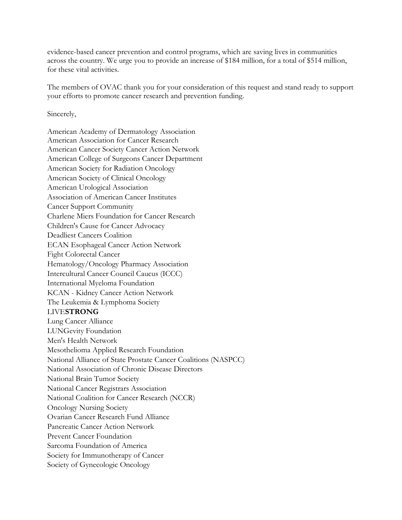evidence-based cancer prevention and control programs, which are saving lives in communities across the country. We urge you to provide an increase of \$184 million, for a total of \$514 million, for these vital activities.

The members of OVAC thank you for your consideration of this request and stand ready to support your efforts to promote cancer research and prevention funding.

Sincerely,

American Academy of Dermatology Association American Association for Cancer Research American Cancer Society Cancer Action Network American College of Surgeons Cancer Department American Society for Radiation Oncology American Society of Clinical Oncology American Urological Association Association of American Cancer Institutes Cancer Support Community Charlene Miers Foundation for Cancer Research Children's Cause for Cancer Advocacy Deadliest Cancers Coalition ECAN Esophageal Cancer Action Network Fight Colorectal Cancer Hematology/Oncology Pharmacy Association Intercultural Cancer Council Caucus (ICCC) International Myeloma Foundation KCAN - Kidney Cancer Action Network The Leukemia & Lymphoma Society LIVE**STRONG** Lung Cancer Alliance LUNGevity Foundation Men's Health Network Mesothelioma Applied Research Foundation National Alliance of State Prostate Cancer Coalitions (NASPCC) National Association of Chronic Disease Directors National Brain Tumor Society National Cancer Registrars Association National Coalition for Cancer Research (NCCR) Oncology Nursing Society Ovarian Cancer Research Fund Alliance Pancreatic Cancer Action Network Prevent Cancer Foundation Sarcoma Foundation of America Society for Immunotherapy of Cancer Society of Gynecologic Oncology